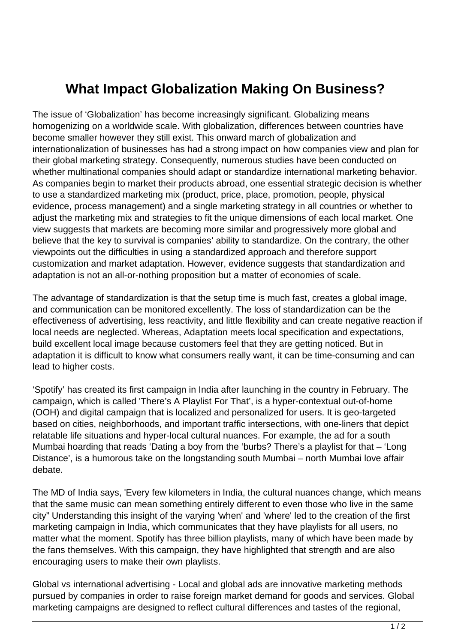## **What Impact Globalization Making On Business?**

The issue of 'Globalization' has become increasingly significant. Globalizing means homogenizing on a worldwide scale. With globalization, differences between countries have become smaller however they still exist. This onward march of globalization and internationalization of businesses has had a strong impact on how companies view and plan for their global marketing strategy. Consequently, numerous studies have been conducted on whether multinational companies should adapt or standardize international marketing behavior. As companies begin to market their products abroad, one essential strategic decision is whether to use a standardized marketing mix (product, price, place, promotion, people, physical evidence, process management) and a single marketing strategy in all countries or whether to adjust the marketing mix and strategies to fit the unique dimensions of each local market. One view suggests that markets are becoming more similar and progressively more global and believe that the key to survival is companies' ability to standardize. On the contrary, the other viewpoints out the difficulties in using a standardized approach and therefore support customization and market adaptation. However, evidence suggests that standardization and adaptation is not an all-or-nothing proposition but a matter of economies of scale.

The advantage of standardization is that the setup time is much fast, creates a global image, and communication can be monitored excellently. The loss of standardization can be the effectiveness of advertising, less reactivity, and little flexibility and can create negative reaction if local needs are neglected. Whereas, Adaptation meets local specification and expectations, build excellent local image because customers feel that they are getting noticed. But in adaptation it is difficult to know what consumers really want, it can be time-consuming and can lead to higher costs.

'Spotify' has created its first campaign in India after launching in the country in February. The campaign, which is called 'There's A Playlist For That', is a hyper-contextual out-of-home (OOH) and digital campaign that is localized and personalized for users. It is geo-targeted based on cities, neighborhoods, and important traffic intersections, with one-liners that depict relatable life situations and hyper-local cultural nuances. For example, the ad for a south Mumbai hoarding that reads 'Dating a boy from the 'burbs? There's a playlist for that – 'Long Distance', is a humorous take on the longstanding south Mumbai – north Mumbai love affair debate.

The MD of India says, 'Every few kilometers in India, the cultural nuances change, which means that the same music can mean something entirely different to even those who live in the same city" Understanding this insight of the varying 'when' and 'where' led to the creation of the first marketing campaign in India, which communicates that they have playlists for all users, no matter what the moment. Spotify has three billion playlists, many of which have been made by the fans themselves. With this campaign, they have highlighted that strength and are also encouraging users to make their own playlists.

Global vs international advertising - Local and global ads are innovative marketing methods pursued by companies in order to raise foreign market demand for goods and services. Global marketing campaigns are designed to reflect cultural differences and tastes of the regional,